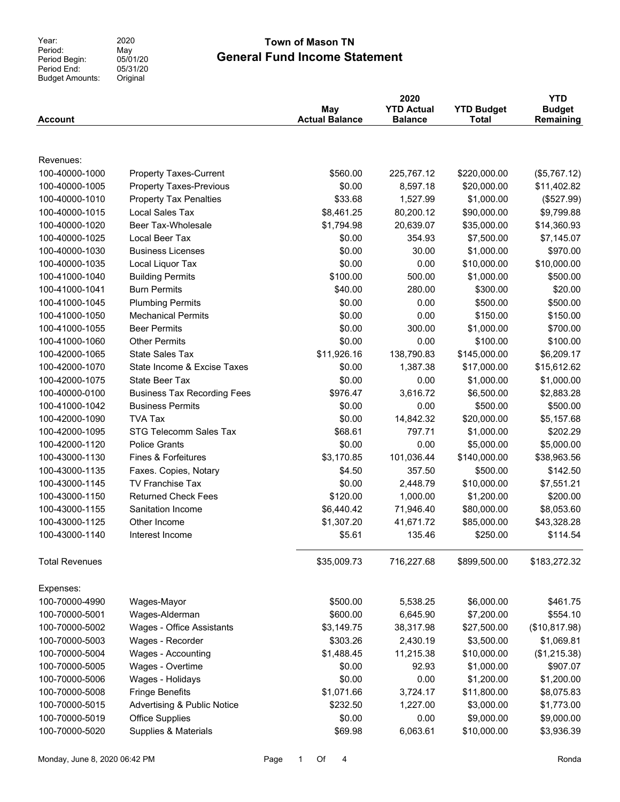Period: Period Begin: Period End: Budget Amounts: Original

#### 2020 May 05/01/20 05/31/20

## General Fund Income Statement Year: 2020 2020 **Town of Mason TN**

| <b>Account</b>        |                                        | May<br><b>Actual Balance</b> | 2020<br><b>YTD Actual</b><br><b>Balance</b> | <b>YTD Budget</b><br><b>Total</b> | <b>YTD</b><br><b>Budget</b><br><b>Remaining</b> |
|-----------------------|----------------------------------------|------------------------------|---------------------------------------------|-----------------------------------|-------------------------------------------------|
|                       |                                        |                              |                                             |                                   |                                                 |
| Revenues:             |                                        |                              |                                             |                                   |                                                 |
| 100-40000-1000        | <b>Property Taxes-Current</b>          | \$560.00                     | 225,767.12                                  | \$220,000.00                      | (\$5,767.12)                                    |
| 100-40000-1005        | <b>Property Taxes-Previous</b>         | \$0.00                       | 8,597.18                                    | \$20,000.00                       | \$11,402.82                                     |
| 100-40000-1010        | <b>Property Tax Penalties</b>          | \$33.68                      | 1,527.99                                    | \$1,000.00                        | (\$527.99)                                      |
| 100-40000-1015        | Local Sales Tax                        | \$8,461.25                   | 80,200.12                                   | \$90,000.00                       | \$9,799.88                                      |
| 100-40000-1020        | Beer Tax-Wholesale                     | \$1,794.98                   | 20,639.07                                   | \$35,000.00                       | \$14,360.93                                     |
| 100-40000-1025        | Local Beer Tax                         | \$0.00                       | 354.93                                      | \$7,500.00                        | \$7,145.07                                      |
| 100-40000-1030        | <b>Business Licenses</b>               | \$0.00                       | 30.00                                       | \$1,000.00                        | \$970.00                                        |
| 100-40000-1035        | Local Liquor Tax                       | \$0.00                       | 0.00                                        | \$10,000.00                       | \$10,000.00                                     |
| 100-41000-1040        | <b>Building Permits</b>                | \$100.00                     | 500.00                                      | \$1,000.00                        | \$500.00                                        |
| 100-41000-1041        | <b>Burn Permits</b>                    | \$40.00                      | 280.00                                      | \$300.00                          | \$20.00                                         |
| 100-41000-1045        | <b>Plumbing Permits</b>                | \$0.00                       | 0.00                                        | \$500.00                          | \$500.00                                        |
| 100-41000-1050        | <b>Mechanical Permits</b>              | \$0.00                       | 0.00                                        | \$150.00                          | \$150.00                                        |
| 100-41000-1055        | <b>Beer Permits</b>                    | \$0.00                       | 300.00                                      | \$1,000.00                        | \$700.00                                        |
| 100-41000-1060        | <b>Other Permits</b>                   | \$0.00                       | 0.00                                        | \$100.00                          | \$100.00                                        |
| 100-42000-1065        | <b>State Sales Tax</b>                 | \$11,926.16                  | 138,790.83                                  | \$145,000.00                      | \$6,209.17                                      |
| 100-42000-1070        | State Income & Excise Taxes            | \$0.00                       | 1,387.38                                    | \$17,000.00                       | \$15,612.62                                     |
| 100-42000-1075        | State Beer Tax                         | \$0.00                       | 0.00                                        | \$1,000.00                        | \$1,000.00                                      |
| 100-40000-0100        | <b>Business Tax Recording Fees</b>     | \$976.47                     | 3,616.72                                    | \$6,500.00                        | \$2,883.28                                      |
| 100-41000-1042        | <b>Business Permits</b>                | \$0.00                       | 0.00                                        | \$500.00                          | \$500.00                                        |
| 100-42000-1090        | <b>TVA Tax</b>                         | \$0.00                       | 14,842.32                                   | \$20,000.00                       | \$5,157.68                                      |
| 100-42000-1095        | <b>STG Telecomm Sales Tax</b>          | \$68.61                      | 797.71                                      | \$1,000.00                        | \$202.29                                        |
| 100-42000-1120        | <b>Police Grants</b>                   | \$0.00                       | 0.00                                        | \$5,000.00                        | \$5,000.00                                      |
| 100-43000-1130        | <b>Fines &amp; Forfeitures</b>         | \$3,170.85                   | 101,036.44                                  | \$140,000.00                      | \$38,963.56                                     |
| 100-43000-1135        | Faxes. Copies, Notary                  | \$4.50                       | 357.50                                      | \$500.00                          | \$142.50                                        |
| 100-43000-1145        | <b>TV Franchise Tax</b>                | \$0.00                       | 2,448.79                                    | \$10,000.00                       | \$7,551.21                                      |
| 100-43000-1150        | <b>Returned Check Fees</b>             | \$120.00                     | 1,000.00                                    | \$1,200.00                        | \$200.00                                        |
| 100-43000-1155        | Sanitation Income                      | \$6,440.42                   | 71,946.40                                   | \$80,000.00                       | \$8,053.60                                      |
| 100-43000-1125        | Other Income                           | \$1,307.20                   | 41,671.72                                   | \$85,000.00                       | \$43,328.28                                     |
| 100-43000-1140        | Interest Income                        | \$5.61                       | 135.46                                      | \$250.00                          | \$114.54                                        |
| <b>Total Revenues</b> |                                        | \$35,009.73                  | 716,227.68                                  | \$899,500.00                      | \$183,272.32                                    |
| Expenses:             |                                        |                              |                                             |                                   |                                                 |
| 100-70000-4990        | Wages-Mayor                            | \$500.00                     | 5,538.25                                    | \$6,000.00                        | \$461.75                                        |
| 100-70000-5001        | Wages-Alderman                         | \$600.00                     | 6,645.90                                    | \$7,200.00                        | \$554.10                                        |
| 100-70000-5002        | Wages - Office Assistants              | \$3,149.75                   | 38,317.98                                   | \$27,500.00                       | (\$10,817.98)                                   |
| 100-70000-5003        | Wages - Recorder                       | \$303.26                     | 2,430.19                                    | \$3,500.00                        | \$1,069.81                                      |
| 100-70000-5004        | Wages - Accounting                     | \$1,488.45                   | 11,215.38                                   | \$10,000.00                       | (\$1,215.38)                                    |
| 100-70000-5005        | Wages - Overtime                       | \$0.00                       | 92.93                                       | \$1,000.00                        | \$907.07                                        |
| 100-70000-5006        | Wages - Holidays                       | \$0.00                       | 0.00                                        | \$1,200.00                        | \$1,200.00                                      |
| 100-70000-5008        | <b>Fringe Benefits</b>                 | \$1,071.66                   | 3,724.17                                    | \$11,800.00                       | \$8,075.83                                      |
| 100-70000-5015        | <b>Advertising &amp; Public Notice</b> | \$232.50                     | 1,227.00                                    | \$3,000.00                        | \$1,773.00                                      |
| 100-70000-5019        | <b>Office Supplies</b>                 | \$0.00                       | 0.00                                        | \$9,000.00                        | \$9,000.00                                      |
| 100-70000-5020        | Supplies & Materials                   | \$69.98                      | 6,063.61                                    | \$10,000.00                       | \$3,936.39                                      |
|                       |                                        |                              |                                             |                                   |                                                 |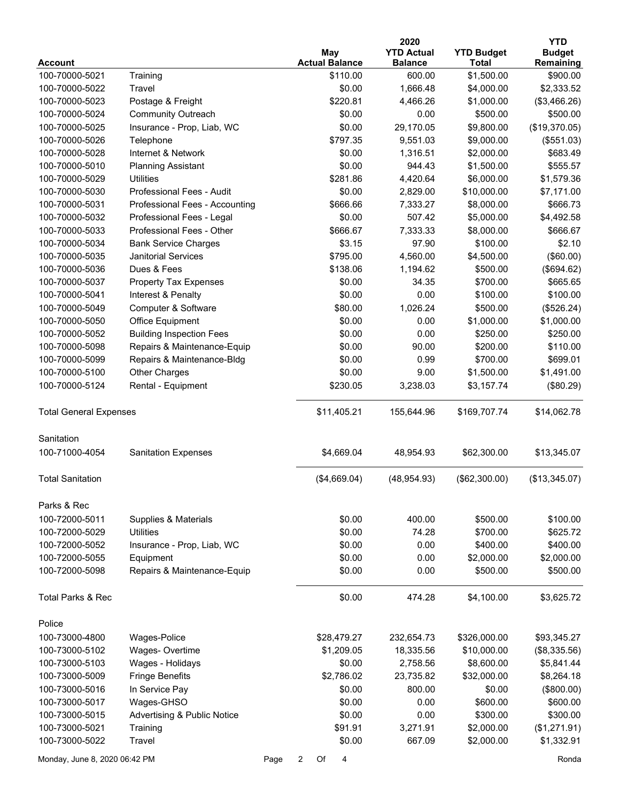|                               |                                 |      |                |                              | 2020                                |                                   | <b>YTD</b>                 |
|-------------------------------|---------------------------------|------|----------------|------------------------------|-------------------------------------|-----------------------------------|----------------------------|
| <b>Account</b>                |                                 |      |                | May<br><b>Actual Balance</b> | <b>YTD Actual</b><br><b>Balance</b> | <b>YTD Budget</b><br><b>Total</b> | <b>Budget</b><br>Remaining |
| 100-70000-5021                | Training                        |      |                | \$110.00                     | 600.00                              | \$1,500.00                        | \$900.00                   |
| 100-70000-5022                | Travel                          |      |                | \$0.00                       | 1,666.48                            | \$4,000.00                        | \$2,333.52                 |
| 100-70000-5023                | Postage & Freight               |      |                | \$220.81                     | 4,466.26                            | \$1,000.00                        | (\$3,466.26)               |
| 100-70000-5024                | <b>Community Outreach</b>       |      |                | \$0.00                       | 0.00                                | \$500.00                          | \$500.00                   |
| 100-70000-5025                | Insurance - Prop, Liab, WC      |      |                | \$0.00                       | 29,170.05                           | \$9,800.00                        | (\$19,370.05)              |
| 100-70000-5026                | Telephone                       |      |                | \$797.35                     | 9,551.03                            | \$9,000.00                        | (\$551.03)                 |
| 100-70000-5028                | Internet & Network              |      |                | \$0.00                       | 1,316.51                            | \$2,000.00                        | \$683.49                   |
| 100-70000-5010                | <b>Planning Assistant</b>       |      |                | \$0.00                       | 944.43                              | \$1,500.00                        | \$555.57                   |
| 100-70000-5029                | <b>Utilities</b>                |      |                | \$281.86                     | 4,420.64                            | \$6,000.00                        | \$1,579.36                 |
| 100-70000-5030                | Professional Fees - Audit       |      |                | \$0.00                       | 2,829.00                            | \$10,000.00                       | \$7,171.00                 |
| 100-70000-5031                | Professional Fees - Accounting  |      |                | \$666.66                     | 7,333.27                            | \$8,000.00                        | \$666.73                   |
| 100-70000-5032                | Professional Fees - Legal       |      |                | \$0.00                       | 507.42                              | \$5,000.00                        | \$4,492.58                 |
| 100-70000-5033                | Professional Fees - Other       |      |                | \$666.67                     | 7,333.33                            | \$8,000.00                        | \$666.67                   |
| 100-70000-5034                | <b>Bank Service Charges</b>     |      |                | \$3.15                       | 97.90                               | \$100.00                          | \$2.10                     |
| 100-70000-5035                | <b>Janitorial Services</b>      |      |                | \$795.00                     | 4,560.00                            | \$4,500.00                        | (\$60.00)                  |
| 100-70000-5036                | Dues & Fees                     |      |                | \$138.06                     | 1,194.62                            | \$500.00                          | (\$694.62)                 |
| 100-70000-5037                | <b>Property Tax Expenses</b>    |      |                | \$0.00                       | 34.35                               | \$700.00                          | \$665.65                   |
| 100-70000-5041                | Interest & Penalty              |      |                | \$0.00                       | 0.00                                | \$100.00                          | \$100.00                   |
| 100-70000-5049                | Computer & Software             |      |                | \$80.00                      | 1,026.24                            | \$500.00                          | (\$526.24)                 |
| 100-70000-5050                | Office Equipment                |      |                | \$0.00                       | 0.00                                | \$1,000.00                        | \$1,000.00                 |
| 100-70000-5052                | <b>Building Inspection Fees</b> |      |                | \$0.00                       | 0.00                                | \$250.00                          | \$250.00                   |
| 100-70000-5098                | Repairs & Maintenance-Equip     |      |                | \$0.00                       | 90.00                               | \$200.00                          | \$110.00                   |
| 100-70000-5099                | Repairs & Maintenance-Bldg      |      |                | \$0.00                       | 0.99                                | \$700.00                          | \$699.01                   |
| 100-70000-5100                | <b>Other Charges</b>            |      |                | \$0.00                       | 9.00                                | \$1,500.00                        | \$1,491.00                 |
| 100-70000-5124                | Rental - Equipment              |      |                | \$230.05                     | 3,238.03                            | \$3,157.74                        | (\$80.29)                  |
| <b>Total General Expenses</b> |                                 |      |                | \$11,405.21                  | 155,644.96                          | \$169,707.74                      | \$14,062.78                |
| Sanitation                    |                                 |      |                |                              |                                     |                                   |                            |
| 100-71000-4054                | <b>Sanitation Expenses</b>      |      |                | \$4,669.04                   | 48,954.93                           | \$62,300.00                       | \$13,345.07                |
| <b>Total Sanitation</b>       |                                 |      |                | (\$4,669.04)                 | (48, 954.93)                        | (\$62,300.00)                     | (\$13,345.07)              |
| Parks & Rec                   |                                 |      |                |                              |                                     |                                   |                            |
| 100-72000-5011                | Supplies & Materials            |      |                | \$0.00                       | 400.00                              | \$500.00                          | \$100.00                   |
| 100-72000-5029                | Utilities                       |      |                | \$0.00                       | 74.28                               | \$700.00                          | \$625.72                   |
| 100-72000-5052                | Insurance - Prop, Liab, WC      |      |                | \$0.00                       | 0.00                                | \$400.00                          | \$400.00                   |
| 100-72000-5055                | Equipment                       |      |                | \$0.00                       | 0.00                                | \$2,000.00                        | \$2,000.00                 |
| 100-72000-5098                | Repairs & Maintenance-Equip     |      |                | \$0.00                       | 0.00                                | \$500.00                          | \$500.00                   |
| <b>Total Parks &amp; Rec</b>  |                                 |      |                | \$0.00                       | 474.28                              | \$4,100.00                        | \$3,625.72                 |
| Police                        |                                 |      |                |                              |                                     |                                   |                            |
| 100-73000-4800                | Wages-Police                    |      |                | \$28,479.27                  | 232,654.73                          | \$326,000.00                      | \$93,345.27                |
| 100-73000-5102                | Wages-Overtime                  |      |                | \$1,209.05                   | 18,335.56                           | \$10,000.00                       | (\$8,335.56)               |
| 100-73000-5103                | Wages - Holidays                |      |                | \$0.00                       | 2,758.56                            | \$8,600.00                        | \$5,841.44                 |
| 100-73000-5009                | <b>Fringe Benefits</b>          |      |                | \$2,786.02                   | 23,735.82                           | \$32,000.00                       | \$8,264.18                 |
| 100-73000-5016                | In Service Pay                  |      |                | \$0.00                       | 800.00                              | \$0.00                            | (\$800.00)                 |
| 100-73000-5017                | Wages-GHSO                      |      |                | \$0.00                       | 0.00                                | \$600.00                          | \$600.00                   |
| 100-73000-5015                | Advertising & Public Notice     |      |                | \$0.00                       | 0.00                                | \$300.00                          | \$300.00                   |
| 100-73000-5021                | Training                        |      |                | \$91.91                      | 3,271.91                            | \$2,000.00                        | (\$1,271.91)               |
| 100-73000-5022                | Travel                          |      |                | \$0.00                       | 667.09                              | \$2,000.00                        | \$1,332.91                 |
| Monday, June 8, 2020 06:42 PM |                                 | Page | $\overline{2}$ | Of<br>4                      |                                     |                                   | Ronda                      |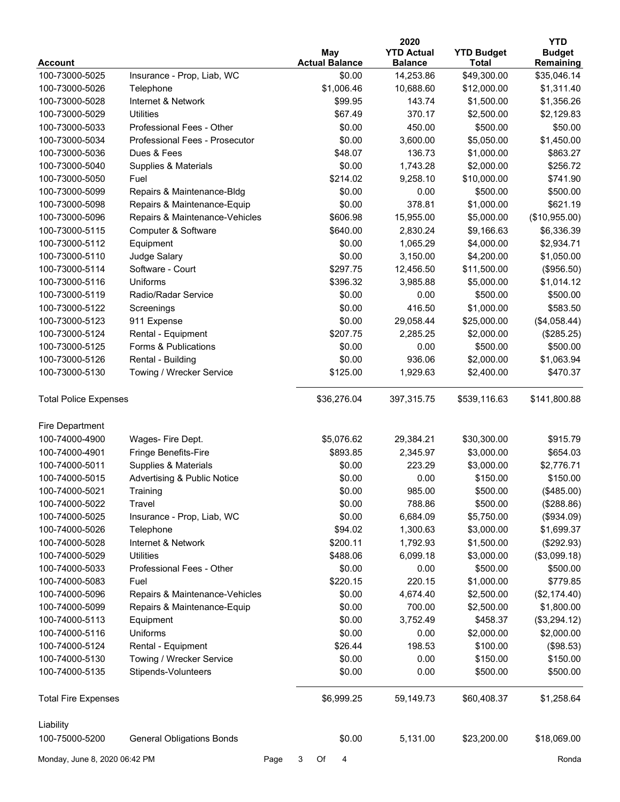|                               |                                            |                                     | 2020                                |                                   | <b>YTD</b>                 |
|-------------------------------|--------------------------------------------|-------------------------------------|-------------------------------------|-----------------------------------|----------------------------|
| <b>Account</b>                |                                            | <b>May</b><br><b>Actual Balance</b> | <b>YTD Actual</b><br><b>Balance</b> | <b>YTD Budget</b><br><b>Total</b> | <b>Budget</b><br>Remaining |
| 100-73000-5025                | Insurance - Prop, Liab, WC                 | \$0.00                              | 14,253.86                           | \$49,300.00                       | \$35,046.14                |
| 100-73000-5026                | Telephone                                  | \$1,006.46                          | 10,688.60                           | \$12,000.00                       | \$1,311.40                 |
| 100-73000-5028                | Internet & Network                         | \$99.95                             | 143.74                              | \$1,500.00                        | \$1,356.26                 |
| 100-73000-5029                | <b>Utilities</b>                           | \$67.49                             | 370.17                              | \$2,500.00                        | \$2,129.83                 |
| 100-73000-5033                | Professional Fees - Other                  | \$0.00                              | 450.00                              | \$500.00                          | \$50.00                    |
| 100-73000-5034                | Professional Fees - Prosecutor             | \$0.00                              | 3,600.00                            | \$5,050.00                        | \$1,450.00                 |
| 100-73000-5036                | Dues & Fees                                | \$48.07                             | 136.73                              | \$1,000.00                        | \$863.27                   |
| 100-73000-5040                | Supplies & Materials                       | \$0.00                              | 1,743.28                            | \$2,000.00                        | \$256.72                   |
| 100-73000-5050                | Fuel                                       | \$214.02                            | 9,258.10                            | \$10,000.00                       | \$741.90                   |
| 100-73000-5099                | Repairs & Maintenance-Bldg                 | \$0.00                              | 0.00                                | \$500.00                          | \$500.00                   |
| 100-73000-5098                | Repairs & Maintenance-Equip                | \$0.00                              | 378.81                              | \$1,000.00                        | \$621.19                   |
| 100-73000-5096                | Repairs & Maintenance-Vehicles             | \$606.98                            | 15,955.00                           | \$5,000.00                        | (\$10,955.00)              |
| 100-73000-5115                | Computer & Software                        | \$640.00                            | 2,830.24                            | \$9,166.63                        | \$6,336.39                 |
| 100-73000-5112                | Equipment                                  | \$0.00                              | 1,065.29                            | \$4,000.00                        | \$2,934.71                 |
| 100-73000-5110                | Judge Salary                               | \$0.00                              | 3,150.00                            | \$4,200.00                        | \$1,050.00                 |
| 100-73000-5114                | Software - Court                           | \$297.75                            | 12,456.50                           | \$11,500.00                       | (\$956.50)                 |
| 100-73000-5116                | Uniforms                                   | \$396.32                            | 3,985.88                            | \$5,000.00                        | \$1,014.12                 |
| 100-73000-5119                | Radio/Radar Service                        | \$0.00                              | 0.00                                | \$500.00                          | \$500.00                   |
| 100-73000-5122                | Screenings                                 | \$0.00                              | 416.50                              | \$1,000.00                        | \$583.50                   |
| 100-73000-5123                | 911 Expense                                | \$0.00                              | 29,058.44                           | \$25,000.00                       | (\$4,058.44)               |
| 100-73000-5124                |                                            | \$207.75                            | 2,285.25                            | \$2,000.00                        | (\$285.25)                 |
| 100-73000-5125                | Rental - Equipment<br>Forms & Publications | \$0.00                              | 0.00                                | \$500.00                          | \$500.00                   |
| 100-73000-5126                | Rental - Building                          | \$0.00                              | 936.06                              | \$2,000.00                        | \$1,063.94                 |
| 100-73000-5130                | Towing / Wrecker Service                   | \$125.00                            | 1,929.63                            | \$2,400.00                        | \$470.37                   |
|                               |                                            |                                     |                                     |                                   |                            |
| <b>Total Police Expenses</b>  |                                            | \$36,276.04                         | 397,315.75                          | \$539,116.63                      | \$141,800.88               |
| Fire Department               |                                            |                                     |                                     |                                   |                            |
| 100-74000-4900                | Wages- Fire Dept.                          | \$5,076.62                          |                                     | \$30,300.00                       |                            |
|                               | <b>Fringe Benefits-Fire</b>                | \$893.85                            | 29,384.21                           |                                   | \$915.79                   |
| 100-74000-4901                |                                            |                                     | 2,345.97                            | \$3,000.00                        | \$654.03                   |
| 100-74000-5011                | Supplies & Materials                       | \$0.00                              | 223.29<br>0.00                      | \$3,000.00                        | \$2,776.71                 |
| 100-74000-5015                | Advertising & Public Notice                | \$0.00                              | 985.00                              | \$150.00                          | \$150.00                   |
| 100-74000-5021                | Training                                   | \$0.00                              |                                     | \$500.00                          | (\$485.00)                 |
| 100-74000-5022                | Travel                                     | \$0.00                              | 788.86                              | \$500.00                          | (\$288.86)                 |
| 100-74000-5025                | Insurance - Prop, Liab, WC                 | \$0.00                              | 6,684.09                            | \$5,750.00                        | (\$934.09)                 |
| 100-74000-5026                | Telephone                                  | \$94.02                             | 1,300.63                            | \$3,000.00                        | \$1,699.37                 |
| 100-74000-5028                | Internet & Network                         | \$200.11                            | 1,792.93                            | \$1,500.00                        | (\$292.93)                 |
| 100-74000-5029                | <b>Utilities</b>                           | \$488.06                            | 6,099.18                            | \$3,000.00                        | (\$3,099.18)               |
| 100-74000-5033                | Professional Fees - Other                  | \$0.00                              | 0.00                                | \$500.00                          | \$500.00                   |
| 100-74000-5083                | Fuel                                       | \$220.15                            | 220.15                              | \$1,000.00                        | \$779.85                   |
| 100-74000-5096                | Repairs & Maintenance-Vehicles             | \$0.00                              | 4,674.40                            | \$2,500.00                        | (\$2,174.40)               |
| 100-74000-5099                | Repairs & Maintenance-Equip                | \$0.00                              | 700.00                              | \$2,500.00                        | \$1,800.00                 |
| 100-74000-5113                | Equipment                                  | \$0.00                              | 3,752.49                            | \$458.37                          | (\$3,294.12)               |
| 100-74000-5116                | Uniforms                                   | \$0.00                              | 0.00                                | \$2,000.00                        | \$2,000.00                 |
| 100-74000-5124                | Rental - Equipment                         | \$26.44                             | 198.53                              | \$100.00                          | (\$98.53)                  |
| 100-74000-5130                | Towing / Wrecker Service                   | \$0.00                              | 0.00                                | \$150.00                          | \$150.00                   |
| 100-74000-5135                | Stipends-Volunteers                        | \$0.00                              | 0.00                                | \$500.00                          | \$500.00                   |
| <b>Total Fire Expenses</b>    |                                            | \$6,999.25                          | 59,149.73                           | \$60,408.37                       | \$1,258.64                 |
| Liability                     |                                            |                                     |                                     |                                   |                            |
| 100-75000-5200                | <b>General Obligations Bonds</b>           | \$0.00                              | 5,131.00                            | \$23,200.00                       | \$18,069.00                |
| Monday, June 8, 2020 06:42 PM | Page                                       | 3<br>Of<br>4                        |                                     |                                   | Ronda                      |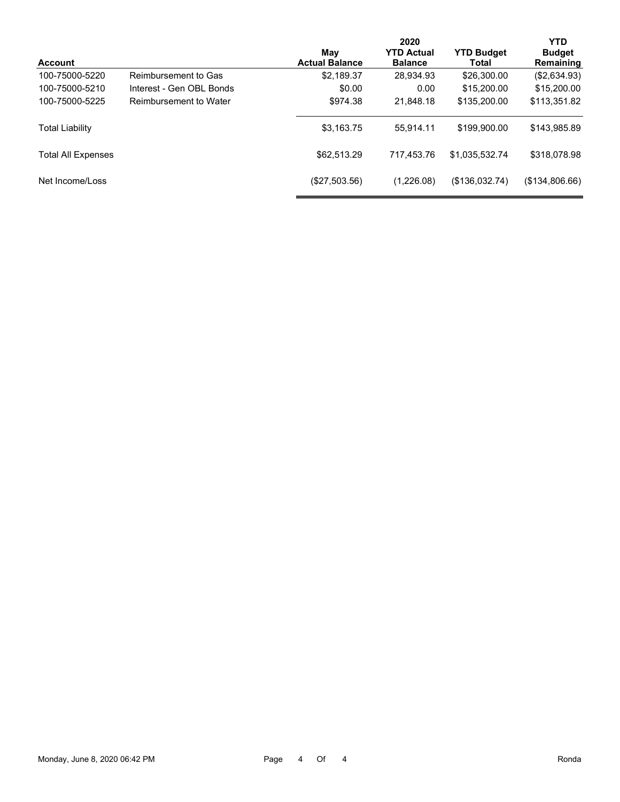|                           |                          |                              | 2020                                |                            |                            |  |  |
|---------------------------|--------------------------|------------------------------|-------------------------------------|----------------------------|----------------------------|--|--|
| <b>Account</b>            |                          | May<br><b>Actual Balance</b> | <b>YTD Actual</b><br><b>Balance</b> | <b>YTD Budget</b><br>Total | <b>Budget</b><br>Remaining |  |  |
| 100-75000-5220            | Reimbursement to Gas     | \$2,189.37                   | 28,934.93                           | \$26,300.00                | (\$2,634.93)               |  |  |
| 100-75000-5210            | Interest - Gen OBL Bonds | \$0.00                       | 0.00                                | \$15,200.00                | \$15,200.00                |  |  |
| 100-75000-5225            | Reimbursement to Water   | \$974.38                     | 21.848.18                           | \$135,200.00               | \$113,351.82               |  |  |
| <b>Total Liability</b>    |                          | \$3,163.75                   | 55.914.11                           | \$199,900.00               | \$143,985.89               |  |  |
| <b>Total All Expenses</b> |                          | \$62,513.29                  | 717.453.76                          | \$1,035,532.74             | \$318,078.98               |  |  |
| Net Income/Loss           |                          | (\$27,503.56)                | (1,226.08)                          | (\$136,032.74)             | (\$134,806.66)             |  |  |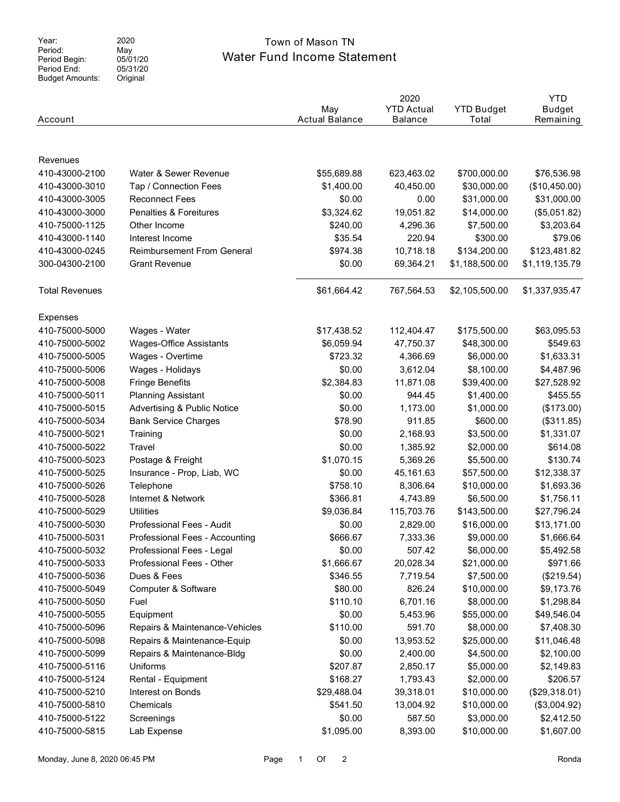Period: Period Begin: Period End: Budget Amounts: 2020 May 05/01/20 05/31/20 Original

# Water Fund Income Statement Year: 2020 2020 Town of Mason TN

| Account               |                                        | May<br><b>Actual Balance</b> | 2020<br><b>YTD Actual</b><br><b>Balance</b> | <b>YTD Budget</b><br>Total | <b>YTD</b><br><b>Budget</b><br>Remaining |
|-----------------------|----------------------------------------|------------------------------|---------------------------------------------|----------------------------|------------------------------------------|
|                       |                                        |                              |                                             |                            |                                          |
|                       |                                        |                              |                                             |                            |                                          |
| Revenues              |                                        |                              |                                             |                            |                                          |
| 410-43000-2100        | Water & Sewer Revenue                  | \$55,689.88                  | 623,463.02                                  | \$700,000.00               | \$76,536.98                              |
| 410-43000-3010        | Tap / Connection Fees                  | \$1,400.00                   | 40,450.00                                   | \$30,000.00                | (\$10,450.00)                            |
| 410-43000-3005        | <b>Reconnect Fees</b>                  | \$0.00                       | 0.00                                        | \$31,000.00                | \$31,000.00                              |
| 410-43000-3000        | Penalties & Foreitures                 | \$3,324.62                   | 19,051.82                                   | \$14,000.00                | (\$5,051.82)                             |
| 410-75000-1125        | Other Income                           | \$240.00                     | 4,296.36                                    | \$7,500.00                 | \$3,203.64                               |
| 410-43000-1140        | Interest Income                        | \$35.54                      | 220.94                                      | \$300.00                   | \$79.06                                  |
| 410-43000-0245        | <b>Reimbursement From General</b>      | \$974.38                     | 10,718.18                                   | \$134,200.00               | \$123,481.82                             |
| 300-04300-2100        | <b>Grant Revenue</b>                   | \$0.00                       | 69,364.21                                   | \$1,188,500.00             | \$1,119,135.79                           |
| <b>Total Revenues</b> |                                        | \$61,664.42                  | 767,564.53                                  | \$2,105,500.00             | \$1,337,935.47                           |
| <b>Expenses</b>       |                                        |                              |                                             |                            |                                          |
| 410-75000-5000        | Wages - Water                          | \$17,438.52                  | 112,404.47                                  | \$175,500.00               | \$63,095.53                              |
| 410-75000-5002        | <b>Wages-Office Assistants</b>         | \$6,059.94                   | 47,750.37                                   | \$48,300.00                | \$549.63                                 |
| 410-75000-5005        | Wages - Overtime                       | \$723.32                     | 4,366.69                                    | \$6,000.00                 | \$1,633.31                               |
| 410-75000-5006        | Wages - Holidays                       | \$0.00                       | 3,612.04                                    | \$8,100.00                 | \$4,487.96                               |
| 410-75000-5008        | <b>Fringe Benefits</b>                 | \$2,384.83                   | 11,871.08                                   | \$39,400.00                | \$27,528.92                              |
| 410-75000-5011        | <b>Planning Assistant</b>              | \$0.00                       | 944.45                                      | \$1,400.00                 | \$455.55                                 |
| 410-75000-5015        | <b>Advertising &amp; Public Notice</b> | \$0.00                       | 1,173.00                                    | \$1,000.00                 | (\$173.00)                               |
| 410-75000-5034        | <b>Bank Service Charges</b>            | \$78.90                      | 911.85                                      | \$600.00                   | (\$311.85)                               |
| 410-75000-5021        | Training                               | \$0.00                       | 2,168.93                                    | \$3,500.00                 | \$1,331.07                               |
| 410-75000-5022        | Travel                                 | \$0.00                       | 1,385.92                                    | \$2,000.00                 | \$614.08                                 |
| 410-75000-5023        | Postage & Freight                      | \$1,070.15                   | 5,369.26                                    | \$5,500.00                 | \$130.74                                 |
| 410-75000-5025        | Insurance - Prop, Liab, WC             | \$0.00                       | 45,161.63                                   | \$57,500.00                | \$12,338.37                              |
| 410-75000-5026        | Telephone                              | \$758.10                     | 8,306.64                                    | \$10,000.00                | \$1,693.36                               |
| 410-75000-5028        | Internet & Network                     | \$366.81                     | 4,743.89                                    | \$6,500.00                 | \$1,756.11                               |
| 410-75000-5029        | <b>Utilities</b>                       | \$9,036.84                   | 115,703.76                                  | \$143,500.00               | \$27,796.24                              |
| 410-75000-5030        | Professional Fees - Audit              | \$0.00                       | 2,829.00                                    | \$16,000.00                | \$13,171.00                              |
| 410-75000-5031        | Professional Fees - Accounting         | \$666.67                     | 7,333.36                                    | \$9,000.00                 | \$1,666.64                               |
| 410-75000-5032        | Professional Fees - Legal              | \$0.00                       | 507.42                                      | \$6,000.00                 | \$5,492.58                               |
| 410-75000-5033        | Professional Fees - Other              | \$1,666.67                   | 20,028.34                                   | \$21,000.00                | \$971.66                                 |
| 410-75000-5036        | Dues & Fees                            | \$346.55                     | 7,719.54                                    | \$7,500.00                 | (\$219.54)                               |
| 410-75000-5049        | Computer & Software                    | \$80.00                      | 826.24                                      | \$10,000.00                | \$9,173.76                               |
| 410-75000-5050        | Fuel                                   | \$110.10                     | 6,701.16                                    | \$8,000.00                 | \$1,298.84                               |
| 410-75000-5055        | Equipment                              | \$0.00                       | 5,453.96                                    | \$55,000.00                | \$49,546.04                              |
| 410-75000-5096        | Repairs & Maintenance-Vehicles         | \$110.00                     | 591.70                                      | \$8,000.00                 | \$7,408.30                               |
| 410-75000-5098        | Repairs & Maintenance-Equip            | \$0.00                       | 13,953.52                                   | \$25,000.00                | \$11,046.48                              |
| 410-75000-5099        |                                        | \$0.00                       | 2,400.00                                    | \$4,500.00                 |                                          |
|                       | Repairs & Maintenance-Bldg             |                              |                                             |                            | \$2,100.00                               |
| 410-75000-5116        | Uniforms                               | \$207.87                     | 2,850.17                                    | \$5,000.00                 | \$2,149.83                               |
| 410-75000-5124        | Rental - Equipment                     | \$168.27                     | 1,793.43                                    | \$2,000.00                 | \$206.57                                 |
| 410-75000-5210        | Interest on Bonds                      | \$29,488.04                  | 39,318.01                                   | \$10,000.00                | (\$29,318.01)                            |
| 410-75000-5810        | Chemicals                              | \$541.50                     | 13,004.92                                   | \$10,000.00                | (\$3,004.92)                             |
| 410-75000-5122        | Screenings                             | \$0.00                       | 587.50                                      | \$3,000.00                 | \$2,412.50                               |
| 410-75000-5815        | Lab Expense                            | \$1,095.00                   | 8,393.00                                    | \$10,000.00                | \$1,607.00                               |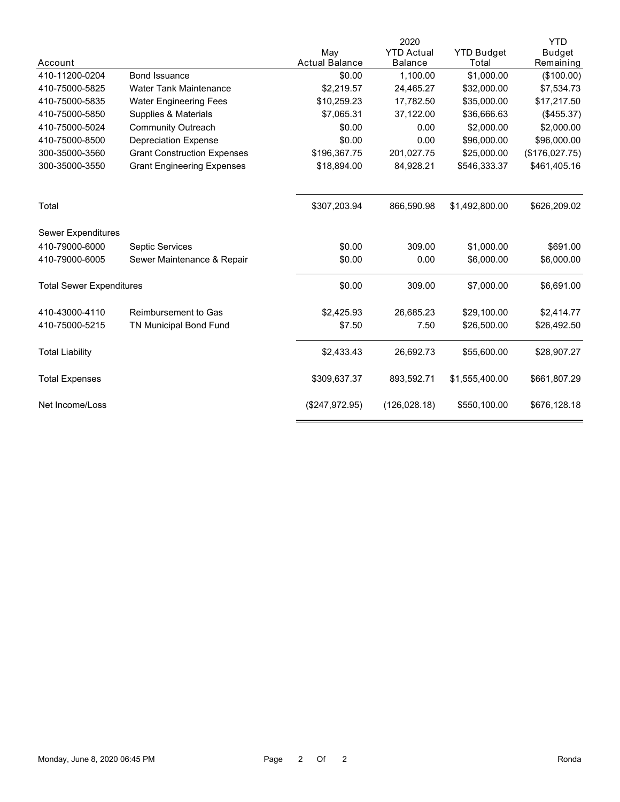|                                 |                                    |                       | 2020              |                   | <b>YTD</b>     |
|---------------------------------|------------------------------------|-----------------------|-------------------|-------------------|----------------|
|                                 |                                    | May                   | <b>YTD Actual</b> | <b>YTD Budget</b> | <b>Budget</b>  |
| Account                         |                                    | <b>Actual Balance</b> | <b>Balance</b>    | Total             | Remaining      |
| 410-11200-0204                  | <b>Bond Issuance</b>               | \$0.00                | 1,100.00          | \$1,000.00        | (\$100.00)     |
| 410-75000-5825                  | <b>Water Tank Maintenance</b>      | \$2,219.57            | 24,465.27         | \$32,000.00       | \$7,534.73     |
| 410-75000-5835                  | <b>Water Engineering Fees</b>      | \$10,259.23           | 17,782.50         | \$35,000.00       | \$17,217.50    |
| 410-75000-5850                  | Supplies & Materials               | \$7,065.31            | 37,122.00         | \$36,666.63       | (\$455.37)     |
| 410-75000-5024                  | <b>Community Outreach</b>          | \$0.00                | 0.00              | \$2,000.00        | \$2,000.00     |
| 410-75000-8500                  | <b>Depreciation Expense</b>        | \$0.00                | 0.00              | \$96,000.00       | \$96,000.00    |
| 300-35000-3560                  | <b>Grant Construction Expenses</b> | \$196,367.75          | 201,027.75        | \$25,000.00       | (\$176,027.75) |
| 300-35000-3550                  | <b>Grant Engineering Expenses</b>  | \$18,894.00           | 84,928.21         | \$546,333.37      | \$461,405.16   |
| Total                           |                                    | \$307,203.94          | 866,590.98        | \$1,492,800.00    | \$626,209.02   |
| Sewer Expenditures              |                                    |                       |                   |                   |                |
| 410-79000-6000                  | Septic Services                    | \$0.00                | 309.00            | \$1,000.00        | \$691.00       |
| 410-79000-6005                  | Sewer Maintenance & Repair         | \$0.00                | 0.00              | \$6,000.00        | \$6,000.00     |
| <b>Total Sewer Expenditures</b> |                                    | \$0.00                | 309.00            | \$7,000.00        | \$6,691.00     |
| 410-43000-4110                  | Reimbursement to Gas               | \$2,425.93            | 26,685.23         | \$29,100.00       | \$2,414.77     |
| 410-75000-5215                  | TN Municipal Bond Fund             | \$7.50                | 7.50              | \$26,500.00       | \$26,492.50    |
| <b>Total Liability</b>          |                                    | \$2,433.43            | 26,692.73         | \$55,600.00       | \$28,907.27    |
| <b>Total Expenses</b>           |                                    | \$309,637.37          | 893,592.71        | \$1,555,400.00    | \$661,807.29   |
| Net Income/Loss                 |                                    | (\$247,972.95)        | (126, 028.18)     | \$550,100.00      | \$676,128.18   |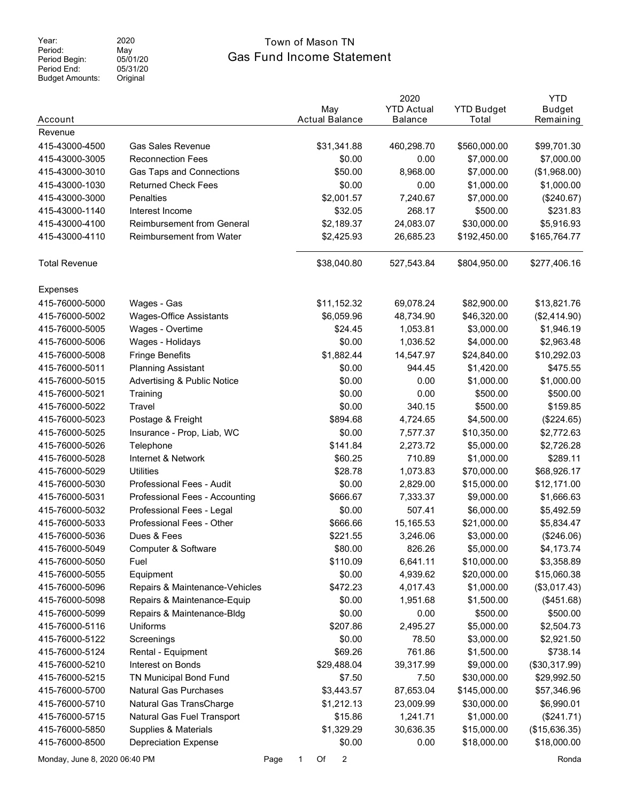Period: Period Begin: Period End: Budget Amounts:

#### 2020 May 05/01/20 05/31/20 Original

# Gas Fund Income Statement Year: 2020 2020 Town of Mason TN

| Account                       |                                        |      | May<br><b>Actual Balance</b> | 2020<br><b>YTD Actual</b><br><b>Balance</b> | <b>YTD Budget</b><br>Total | <b>YTD</b><br><b>Budget</b><br>Remaining |
|-------------------------------|----------------------------------------|------|------------------------------|---------------------------------------------|----------------------------|------------------------------------------|
| Revenue                       |                                        |      |                              |                                             |                            |                                          |
| 415-43000-4500                | <b>Gas Sales Revenue</b>               |      | \$31,341.88                  | 460,298.70                                  | \$560,000.00               | \$99,701.30                              |
| 415-43000-3005                | <b>Reconnection Fees</b>               |      | \$0.00                       | 0.00                                        | \$7,000.00                 | \$7,000.00                               |
| 415-43000-3010                | <b>Gas Taps and Connections</b>        |      | \$50.00                      | 8,968.00                                    | \$7,000.00                 | (\$1,968.00)                             |
| 415-43000-1030                | <b>Returned Check Fees</b>             |      | \$0.00                       | 0.00                                        | \$1,000.00                 | \$1,000.00                               |
| 415-43000-3000                | Penalties                              |      | \$2,001.57                   | 7,240.67                                    | \$7,000.00                 | (\$240.67)                               |
| 415-43000-1140                | Interest Income                        |      | \$32.05                      | 268.17                                      | \$500.00                   | \$231.83                                 |
| 415-43000-4100                | <b>Reimbursement from General</b>      |      | \$2,189.37                   | 24,083.07                                   | \$30,000.00                | \$5,916.93                               |
| 415-43000-4110                | <b>Reimbursement from Water</b>        |      | \$2,425.93                   | 26,685.23                                   | \$192,450.00               | \$165,764.77                             |
| <b>Total Revenue</b>          |                                        |      | \$38,040.80                  | 527,543.84                                  | \$804,950.00               | \$277,406.16                             |
| Expenses                      |                                        |      |                              |                                             |                            |                                          |
| 415-76000-5000                | Wages - Gas                            |      | \$11,152.32                  | 69,078.24                                   | \$82,900.00                | \$13,821.76                              |
| 415-76000-5002                | Wages-Office Assistants                |      | \$6,059.96                   | 48,734.90                                   | \$46,320.00                | (\$2,414.90)                             |
| 415-76000-5005                | Wages - Overtime                       |      | \$24.45                      | 1,053.81                                    | \$3,000.00                 | \$1,946.19                               |
| 415-76000-5006                | Wages - Holidays                       |      | \$0.00                       | 1,036.52                                    | \$4,000.00                 | \$2,963.48                               |
| 415-76000-5008                | <b>Fringe Benefits</b>                 |      | \$1,882.44                   | 14,547.97                                   | \$24,840.00                | \$10,292.03                              |
| 415-76000-5011                | <b>Planning Assistant</b>              |      | \$0.00                       | 944.45                                      | \$1,420.00                 | \$475.55                                 |
| 415-76000-5015                | <b>Advertising &amp; Public Notice</b> |      | \$0.00                       | 0.00                                        | \$1,000.00                 | \$1,000.00                               |
| 415-76000-5021                | Training                               |      | \$0.00                       | 0.00                                        | \$500.00                   | \$500.00                                 |
| 415-76000-5022                | Travel                                 |      | \$0.00                       | 340.15                                      | \$500.00                   | \$159.85                                 |
| 415-76000-5023                | Postage & Freight                      |      | \$894.68                     | 4,724.65                                    | \$4,500.00                 | (\$224.65)                               |
| 415-76000-5025                | Insurance - Prop, Liab, WC             |      | \$0.00                       | 7,577.37                                    | \$10,350.00                | \$2,772.63                               |
| 415-76000-5026                | Telephone                              |      | \$141.84                     | 2,273.72                                    | \$5,000.00                 | \$2,726.28                               |
| 415-76000-5028                | Internet & Network                     |      | \$60.25                      | 710.89                                      | \$1,000.00                 | \$289.11                                 |
| 415-76000-5029                | <b>Utilities</b>                       |      | \$28.78                      | 1,073.83                                    | \$70,000.00                | \$68,926.17                              |
| 415-76000-5030                | Professional Fees - Audit              |      | \$0.00                       | 2,829.00                                    | \$15,000.00                | \$12,171.00                              |
| 415-76000-5031                | Professional Fees - Accounting         |      | \$666.67                     | 7,333.37                                    | \$9,000.00                 | \$1,666.63                               |
| 415-76000-5032                | Professional Fees - Legal              |      | \$0.00                       | 507.41                                      | \$6,000.00                 | \$5,492.59                               |
| 415-76000-5033                | Professional Fees - Other              |      | \$666.66                     | 15,165.53                                   | \$21,000.00                | \$5,834.47                               |
| 415-76000-5036                | Dues & Fees                            |      | \$221.55                     | 3,246.06                                    | \$3,000.00                 | (\$246.06)                               |
| 415-76000-5049                | Computer & Software                    |      | \$80.00                      | 826.26                                      | \$5,000.00                 | \$4,173.74                               |
| 415-76000-5050                | Fuel                                   |      | \$110.09                     | 6,641.11                                    | \$10,000.00                | \$3,358.89                               |
| 415-76000-5055                | Equipment                              |      | \$0.00                       | 4,939.62                                    | \$20,000.00                | \$15,060.38                              |
| 415-76000-5096                | Repairs & Maintenance-Vehicles         |      | \$472.23                     | 4,017.43                                    | \$1,000.00                 | (\$3,017.43)                             |
| 415-76000-5098                | Repairs & Maintenance-Equip            |      | \$0.00                       | 1,951.68                                    | \$1,500.00                 | (\$451.68)                               |
| 415-76000-5099                | Repairs & Maintenance-Bldg             |      | \$0.00                       | 0.00                                        | \$500.00                   | \$500.00                                 |
| 415-76000-5116                | Uniforms                               |      | \$207.86                     | 2,495.27                                    | \$5,000.00                 | \$2,504.73                               |
| 415-76000-5122                | Screenings                             |      | \$0.00                       | 78.50                                       | \$3,000.00                 | \$2,921.50                               |
| 415-76000-5124                | Rental - Equipment                     |      | \$69.26                      | 761.86                                      | \$1,500.00                 | \$738.14                                 |
| 415-76000-5210                | Interest on Bonds                      |      | \$29,488.04                  | 39,317.99                                   | \$9,000.00                 | (\$30,317.99)                            |
| 415-76000-5215                | TN Municipal Bond Fund                 |      | \$7.50                       | 7.50                                        | \$30,000.00                | \$29,992.50                              |
| 415-76000-5700                | <b>Natural Gas Purchases</b>           |      | \$3,443.57                   | 87,653.04                                   | \$145,000.00               | \$57,346.96                              |
| 415-76000-5710                | Natural Gas TransCharge                |      | \$1,212.13                   | 23,009.99                                   | \$30,000.00                | \$6,990.01                               |
| 415-76000-5715                | Natural Gas Fuel Transport             |      | \$15.86                      | 1,241.71                                    | \$1,000.00                 | (\$241.71)                               |
| 415-76000-5850                | Supplies & Materials                   |      | \$1,329.29                   | 30,636.35                                   | \$15,000.00                | (\$15,636.35)                            |
| 415-76000-8500                | <b>Depreciation Expense</b>            |      | \$0.00                       | 0.00                                        | \$18,000.00                | \$18,000.00                              |
| Monday, June 8, 2020 06:40 PM |                                        | Page | 2<br>$\mathbf{1}$<br>Of      |                                             |                            | Ronda                                    |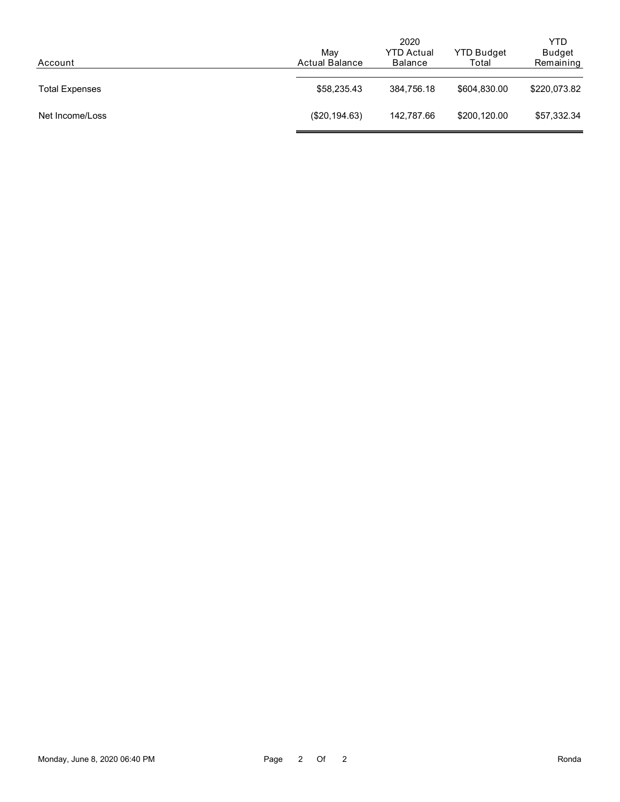| Account               | Mav<br>Actual Balance | 2020<br><b>YTD Actual</b><br><b>Balance</b> | <b>YTD Budget</b><br>Total | <b>YTD</b><br><b>Budget</b><br>Remaining |
|-----------------------|-----------------------|---------------------------------------------|----------------------------|------------------------------------------|
| <b>Total Expenses</b> | \$58,235.43           | 384.756.18                                  | \$604,830.00               | \$220,073.82                             |
| Net Income/Loss       | (\$20,194.63)         | 142,787.66                                  | \$200,120.00               | \$57,332.34                              |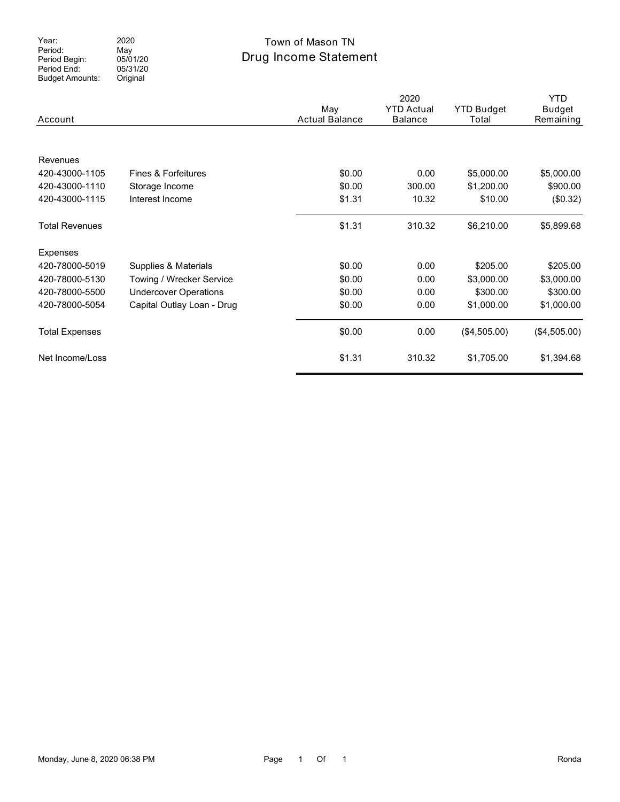Period: Period Begin: Period End: Budget Amounts: 2020 May 05/01/20 05/31/20 Original

# Drug Income Statement Year: 2020 2020 Town of Mason TN

| Account                    |                              | May<br><b>Actual Balance</b> | 2020<br><b>YTD Actual</b><br><b>Balance</b> | <b>YTD Budget</b><br>Total | <b>YTD</b><br>Budget<br>Remaining |
|----------------------------|------------------------------|------------------------------|---------------------------------------------|----------------------------|-----------------------------------|
| Revenues<br>420-43000-1105 | Fines & Forfeitures          | \$0.00                       | 0.00                                        | \$5,000.00                 | \$5,000.00                        |
| 420-43000-1110             | Storage Income               | \$0.00                       | 300.00                                      | \$1,200.00                 | \$900.00                          |
| 420-43000-1115             | Interest Income              | \$1.31                       | 10.32                                       | \$10.00                    | (\$0.32)                          |
| <b>Total Revenues</b>      |                              | \$1.31                       | 310.32                                      | \$6,210.00                 | \$5,899.68                        |
| <b>Expenses</b>            |                              |                              |                                             |                            |                                   |
| 420-78000-5019             | Supplies & Materials         | \$0.00                       | 0.00                                        | \$205.00                   | \$205.00                          |
| 420-78000-5130             | Towing / Wrecker Service     | \$0.00                       | 0.00                                        | \$3,000.00                 | \$3,000.00                        |
| 420-78000-5500             | <b>Undercover Operations</b> | \$0.00                       | 0.00                                        | \$300.00                   | \$300.00                          |
| 420-78000-5054             | Capital Outlay Loan - Drug   | \$0.00                       | 0.00                                        | \$1,000.00                 | \$1,000.00                        |
| <b>Total Expenses</b>      |                              | \$0.00                       | 0.00                                        | (\$4,505.00)               | (\$4,505.00)                      |
| Net Income/Loss            |                              | \$1.31                       | 310.32                                      | \$1,705.00                 | \$1,394.68                        |